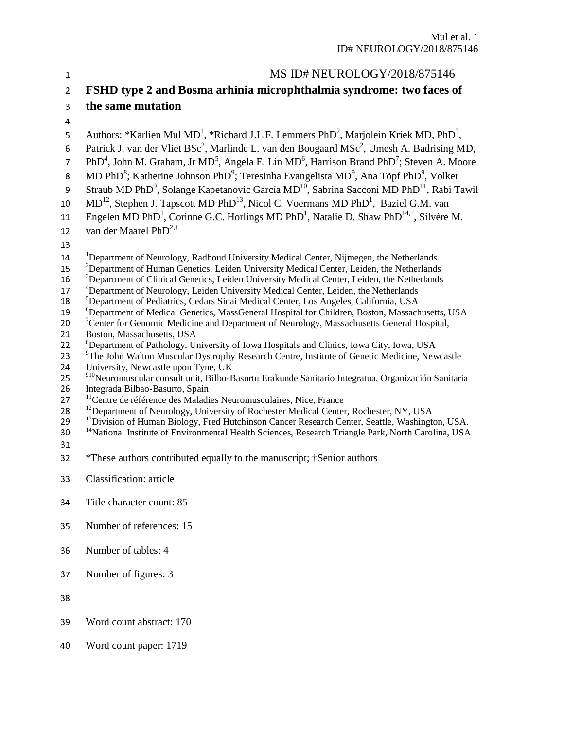| $\mathbf{1}$   | MS ID# NEUROLOGY/2018/875146                                                                                                                                                                                                 |
|----------------|------------------------------------------------------------------------------------------------------------------------------------------------------------------------------------------------------------------------------|
| $\overline{2}$ | FSHD type 2 and Bosma arhinia microphthalmia syndrome: two faces of                                                                                                                                                          |
| 3              | the same mutation                                                                                                                                                                                                            |
| 4              |                                                                                                                                                                                                                              |
| 5              | Authors: *Karlien Mul MD <sup>1</sup> , *Richard J.L.F. Lemmers PhD <sup>2</sup> , Marjolein Kriek MD, PhD <sup>3</sup> ,                                                                                                    |
| 6              | Patrick J. van der Vliet BSc <sup>2</sup> , Marlinde L. van den Boogaard MSc <sup>2</sup> , Umesh A. Badrising MD,                                                                                                           |
| $\overline{7}$ | PhD <sup>4</sup> , John M. Graham, Jr MD <sup>5</sup> , Angela E. Lin MD <sup>6</sup> , Harrison Brand PhD <sup>7</sup> ; Steven A. Moore                                                                                    |
| $\bf 8$        | MD PhD <sup>8</sup> ; Katherine Johnson PhD <sup>9</sup> ; Teresinha Evangelista MD <sup>9</sup> , Ana Töpf PhD <sup>9</sup> , Volker                                                                                        |
| 9              | Straub MD PhD <sup>9</sup> , Solange Kapetanovic García MD <sup>10</sup> , Sabrina Sacconi MD PhD <sup>11</sup> , Rabi Tawil                                                                                                 |
| 10             | $MD12$ , Stephen J. Tapscott MD PhD <sup>13</sup> , Nicol C. Voermans MD PhD <sup>1</sup> , Baziel G.M. van                                                                                                                  |
| 11             | Engelen MD PhD <sup>1</sup> , Corinne G.C. Horlings MD PhD <sup>1</sup> , Natalie D. Shaw PhD <sup>14,†</sup> , Silvère M.                                                                                                   |
| 12             | van der Maarel PhD <sup>2,†</sup>                                                                                                                                                                                            |
| 13             |                                                                                                                                                                                                                              |
| 14             | <sup>1</sup> Department of Neurology, Radboud University Medical Center, Nijmegen, the Netherlands                                                                                                                           |
| 15             | <sup>2</sup> Department of Human Genetics, Leiden University Medical Center, Leiden, the Netherlands                                                                                                                         |
| 16             | <sup>3</sup> Department of Clinical Genetics, Leiden University Medical Center, Leiden, the Netherlands                                                                                                                      |
| 17             | <sup>4</sup> Department of Neurology, Leiden University Medical Center, Leiden, the Netherlands                                                                                                                              |
| 18             | <sup>5</sup> Department of Pediatrics, Cedars Sinai Medical Center, Los Angeles, California, USA                                                                                                                             |
| 19<br>20       | <sup>6</sup> Department of Medical Genetics, MassGeneral Hospital for Children, Boston, Massachusetts, USA<br><sup>7</sup> Center for Genomic Medicine and Department of Neurology, Massachusetts General Hospital,          |
| 21             | Boston, Massachusetts, USA                                                                                                                                                                                                   |
| 22             | <sup>8</sup> Department of Pathology, University of Iowa Hospitals and Clinics, Iowa City, Iowa, USA                                                                                                                         |
| 23             | <sup>9</sup> The John Walton Muscular Dystrophy Research Centre, Institute of Genetic Medicine, Newcastle                                                                                                                    |
| 24             | University, Newcastle upon Tyne, UK                                                                                                                                                                                          |
| 25             | 910 Neuromuscular consult unit, Bilbo-Basurtu Erakunde Sanitario Integratua, Organización Sanitaria                                                                                                                          |
| 26             | Integrada Bilbao-Basurto, Spain                                                                                                                                                                                              |
| 27             | <sup>11</sup> Centre de référence des Maladies Neuromusculaires, Nice, France                                                                                                                                                |
| 28             | <sup>12</sup> Department of Neurology, University of Rochester Medical Center, Rochester, NY, USA                                                                                                                            |
| 29             | <sup>13</sup> Division of Human Biology, Fred Hutchinson Cancer Research Center, Seattle, Washington, USA.<br><sup>14</sup> National Institute of Environmental Health Sciences, Research Triangle Park, North Carolina, USA |
| 30<br>31       |                                                                                                                                                                                                                              |
| 32             | *These authors contributed equally to the manuscript; †Senior authors                                                                                                                                                        |
|                |                                                                                                                                                                                                                              |
| 33             | Classification: article                                                                                                                                                                                                      |
| 34             | Title character count: 85                                                                                                                                                                                                    |
| 35             | Number of references: 15                                                                                                                                                                                                     |
|                |                                                                                                                                                                                                                              |
| 36             | Number of tables: 4                                                                                                                                                                                                          |
| 37             | Number of figures: 3                                                                                                                                                                                                         |
| 38             |                                                                                                                                                                                                                              |
| 39             | Word count abstract: 170                                                                                                                                                                                                     |
|                |                                                                                                                                                                                                                              |
| 40             | Word count paper: 1719                                                                                                                                                                                                       |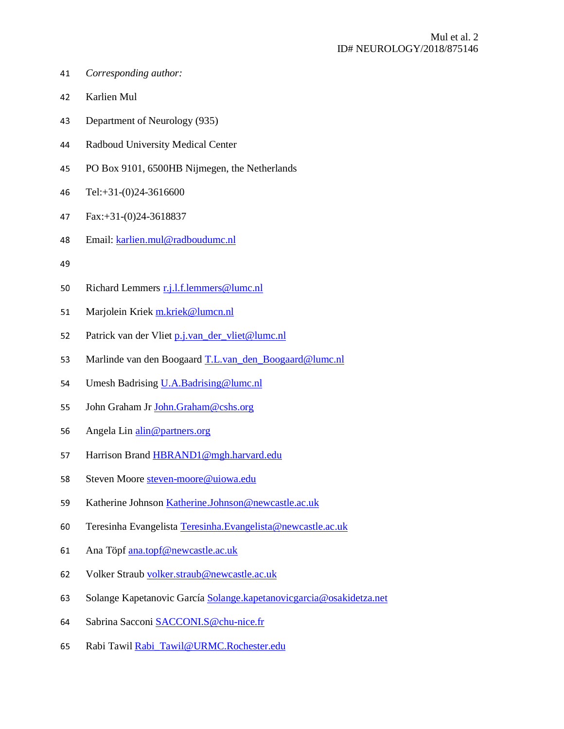- <sup>41</sup>*Corresponding author:*
- 42 Karlien Mul
- 43 Department of Neurology (935)
- 44 Radboud University Medical Center
- <sup>45</sup>PO Box 9101, 6500HB Nijmegen, the Netherlands
- 46 Tel:+31-(0)24-3616600
- <sup>47</sup>Fax:+31-(0)24-3618837
- <sup>48</sup>Email: karlien.mul@radboudumc.nl
- 
- 50 Richard Lemmers r.j.l.f.lemmers@lumc.nl
- 51 Marjolein Kriek m.kriek@lumcn.nl
- 52 Patrick van der Vliet p.j.van der vliet@lumc.nl
- 53 Marlinde van den Boogaard T.L.van\_den\_Boogaard@lumc.nl
- 54 Umesh Badrising U.A.Badrising@lumc.nl
- 55 John Graham Jr John.Graham@cshs.org
- 56 Angela Lin alin@partners.org
- 57 Harrison Brand HBRAND1@mgh.harvard.edu
- 58 Steven Moore steven-moore@uiowa.edu
- <sup>59</sup>Katherine Johnson Katherine.Johnson@newcastle.ac.uk
- 60 Teresinha Evangelista Teresinha.Evangelista@newcastle.ac.uk
- 61 Ana Töpf ana.topf@newcastle.ac.uk
- 62 Volker Straub volker.straub@newcastle.ac.uk
- 63 Solange Kapetanovic García Solange.kapetanovicgarcia@osakidetza.net
- 64 Sabrina Sacconi SACCONI.S@chu-nice.fr
- 65 Rabi Tawil Rabi\_Tawil@URMC.Rochester.edu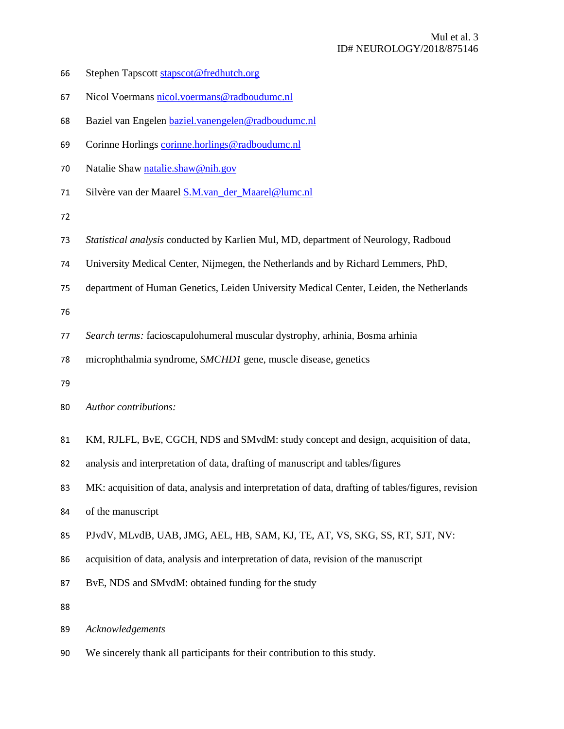- 66 Stephen Tapscott stapscot@fredhutch.org
- 67 Nicol Voermans nicol.voermans@radboudumc.nl
- 68 Baziel van Engelen baziel.vanengelen@radboudumc.nl
- <sup>69</sup>Corinne Horlings corinne.horlings@radboudumc.nl
- 70 Natalie Shaw natalie.shaw@nih.gov
- 71 Silvère van der Maarel **S.M.**van der Maarel@lumc.nl

- <sup>73</sup>*Statistical analysis* conducted by Karlien Mul, MD, department of Neurology, Radboud
- <sup>74</sup>University Medical Center, Nijmegen, the Netherlands and by Richard Lemmers, PhD,
- 75 department of Human Genetics, Leiden University Medical Center, Leiden, the Netherlands

76

- <sup>77</sup>*Search terms:* facioscapulohumeral muscular dystrophy, arhinia, Bosma arhinia
- 78 microphthalmia syndrome, *SMCHD1* gene, muscle disease, genetics
- 
- <sup>80</sup>*Author contributions:*
- 81 KM, RJLFL, BvE, CGCH, NDS and SMvdM: study concept and design, acquisition of data,
- 82 analysis and interpretation of data, drafting of manuscript and tables/figures
- <sup>83</sup>MK: acquisition of data, analysis and interpretation of data, drafting of tables/figures, revision
- 84 of the manuscript
- 85 PJvdV, MLvdB, UAB, JMG, AEL, HB, SAM, KJ, TE, AT, VS, SKG, SS, RT, SJT, NV:
- 86 acquisition of data, analysis and interpretation of data, revision of the manuscript
- 87 BvE, NDS and SMvdM: obtained funding for the study
- 

```
89Acknowledgements
```
90 We sincerely thank all participants for their contribution to this study.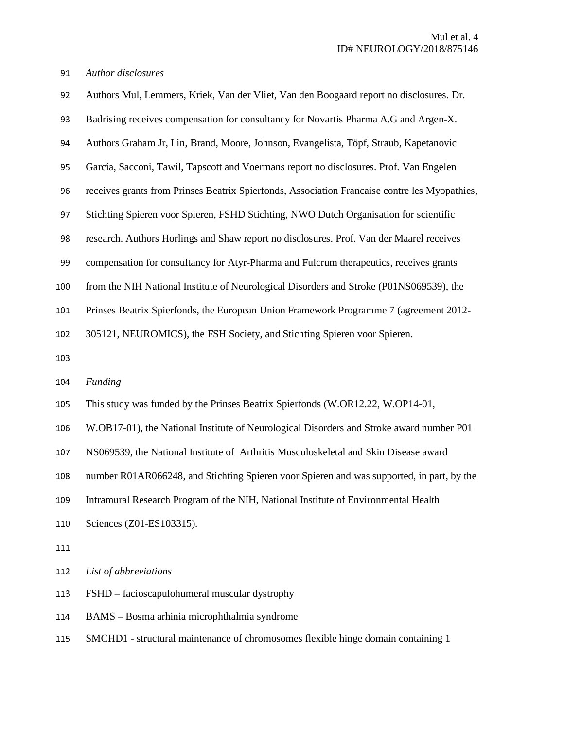*Author disclosures* 

| 92  | Authors Mul, Lemmers, Kriek, Van der Vliet, Van den Boogaard report no disclosures. Dr.       |
|-----|-----------------------------------------------------------------------------------------------|
| 93  | Badrising receives compensation for consultancy for Novartis Pharma A.G and Argen-X.          |
| 94  | Authors Graham Jr, Lin, Brand, Moore, Johnson, Evangelista, Töpf, Straub, Kapetanovic         |
| 95  | García, Sacconi, Tawil, Tapscott and Voermans report no disclosures. Prof. Van Engelen        |
| 96  | receives grants from Prinses Beatrix Spierfonds, Association Francaise contre les Myopathies, |
| 97  | Stichting Spieren voor Spieren, FSHD Stichting, NWO Dutch Organisation for scientific         |
| 98  | research. Authors Horlings and Shaw report no disclosures. Prof. Van der Maarel receives      |
| 99  | compensation for consultancy for Atyr-Pharma and Fulcrum therapeutics, receives grants        |
| 100 | from the NIH National Institute of Neurological Disorders and Stroke (P01NS069539), the       |
| 101 | Prinses Beatrix Spierfonds, the European Union Framework Programme 7 (agreement 2012-         |
| 102 | 305121, NEUROMICS), the FSH Society, and Stichting Spieren voor Spieren.                      |
|     |                                                                                               |
| 103 |                                                                                               |
| 104 | Funding                                                                                       |
| 105 | This study was funded by the Prinses Beatrix Spierfonds (W.OR12.22, W.OP14-01,                |
| 106 | W.OB17-01), the National Institute of Neurological Disorders and Stroke award number P01      |
| 107 | NS069539, the National Institute of Arthritis Musculoskeletal and Skin Disease award          |
| 108 | number R01AR066248, and Stichting Spieren voor Spieren and was supported, in part, by the     |
| 109 | Intramural Research Program of the NIH, National Institute of Environmental Health            |
| 110 | Sciences (Z01-ES103315).                                                                      |
| 111 |                                                                                               |
| 112 | List of abbreviations                                                                         |
| 113 | FSHD – facioscapulohumeral muscular dystrophy                                                 |

SMCHD1 - structural maintenance of chromosomes flexible hinge domain containing 1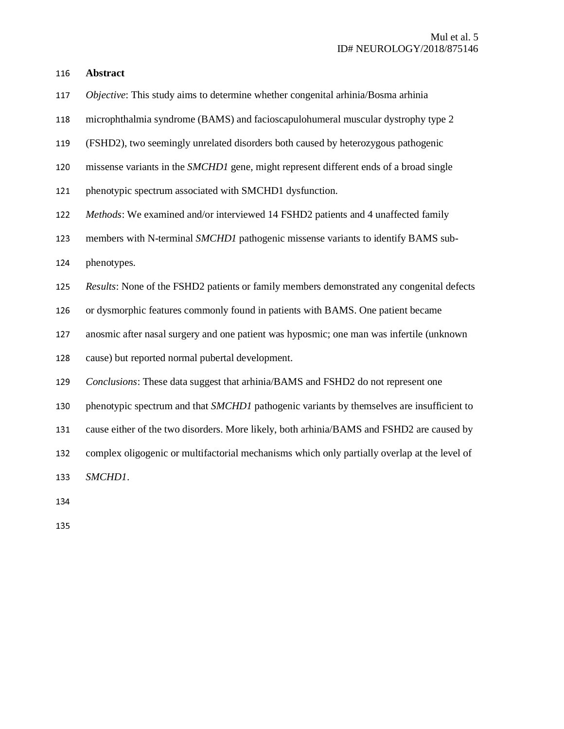<sup>116</sup>**Abstract**

- <sup>117</sup>*Objective*: This study aims to determine whether congenital arhinia/Bosma arhinia
- <sup>118</sup>microphthalmia syndrome (BAMS) and facioscapulohumeral muscular dystrophy type 2
- <sup>119</sup>(FSHD2), two seemingly unrelated disorders both caused by heterozygous pathogenic
- 120 missense variants in the *SMCHD1* gene, might represent different ends of a broad single
- 121 phenotypic spectrum associated with SMCHD1 dysfunction.
- <sup>122</sup>*Methods*: We examined and/or interviewed 14 FSHD2 patients and 4 unaffected family
- 123 members with N-terminal *SMCHD1* pathogenic missense variants to identify BAMS sub-
- 124 phenotypes.
- <sup>125</sup>*Results*: None of the FSHD2 patients or family members demonstrated any congenital defects
- 126 or dysmorphic features commonly found in patients with BAMS. One patient became
- 127 anosmic after nasal surgery and one patient was hyposmic; one man was infertile (unknown
- 128 cause) but reported normal pubertal development.
- <sup>129</sup>*Conclusions*: These data suggest that arhinia/BAMS and FSHD2 do not represent one
- 130 phenotypic spectrum and that *SMCHD1* pathogenic variants by themselves are insufficient to
- 131 cause either of the two disorders. More likely, both arhinia/BAMS and FSHD2 are caused by
- 132 complex oligogenic or multifactorial mechanisms which only partially overlap at the level of

<sup>133</sup>*SMCHD1*.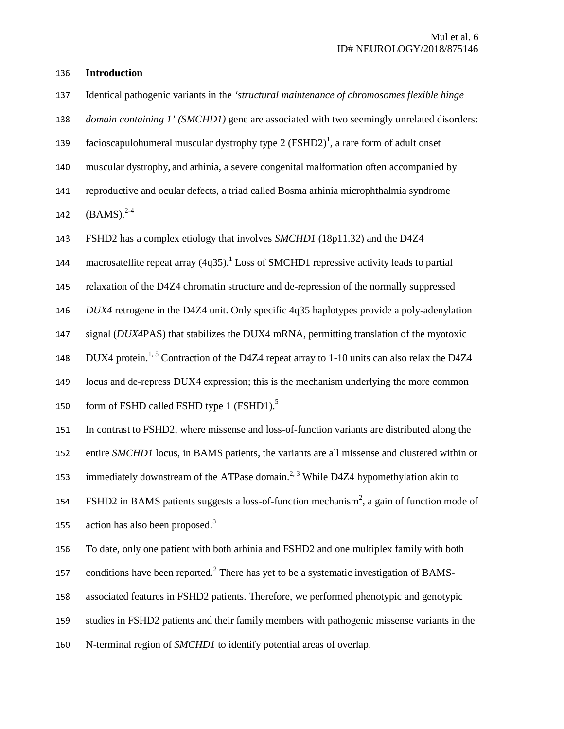#### <sup>136</sup>**Introduction**

<sup>137</sup>Identical pathogenic variants in the *'structural maintenance of chromosomes flexible hinge* 

138 *domain containing 1' (SMCHD1)* gene are associated with two seemingly unrelated disorders:

- 139 facioscapulohumeral muscular dystrophy type 2 (FSHD2)<sup>1</sup>, a rare form of adult onset
- <sup>140</sup>muscular dystrophy, and arhinia, a severe congenital malformation often accompanied by
- 141 reproductive and ocular defects, a triad called Bosma arhinia microphthalmia syndrome

142  $(BAMS)^{2-4}$ 

<sup>143</sup>FSHD2 has a complex etiology that involves *SMCHD1* (18p11.32) and the D4Z4

144 macrosatellite repeat array  $(4q35)^{1}$  Loss of SMCHD1 repressive activity leads to partial

<sup>145</sup>relaxation of the D4Z4 chromatin structure and de-repression of the normally suppressed

<sup>146</sup>*DUX4* retrogene in the D4Z4 unit. Only specific 4q35 haplotypes provide a poly-adenylation

147 signal (*DUX4PAS*) that stabilizes the DUX4 mRNA, permitting translation of the myotoxic

148 DUX4 protein.<sup>1, 5</sup> Contraction of the D4Z4 repeat array to 1-10 units can also relax the D4Z4

149 locus and de-repress DUX4 expression; this is the mechanism underlying the more common

150 form of FSHD called FSHD type 1 (FSHD1).<sup>5</sup>

<sup>151</sup>In contrast to FSHD2, where missense and loss-of-function variants are distributed along the

152 entire *SMCHD1* locus, in BAMS patients, the variants are all missense and clustered within or

153 immediately downstream of the ATPase domain.<sup>2, 3</sup> While D4Z4 hypomethylation akin to

154 FSHD2 in BAMS patients suggests a loss-of-function mechanism<sup>2</sup>, a gain of function mode of 155 action has also been proposed.<sup>3</sup>

<sup>156</sup>To date, only one patient with both arhinia and FSHD2 and one multiplex family with both

157 conditions have been reported.<sup>2</sup> There has yet to be a systematic investigation of BAMS-

158 associated features in FSHD2 patients. Therefore, we performed phenotypic and genotypic

159 studies in FSHD2 patients and their family members with pathogenic missense variants in the

160 N-terminal region of *SMCHD1* to identify potential areas of overlap.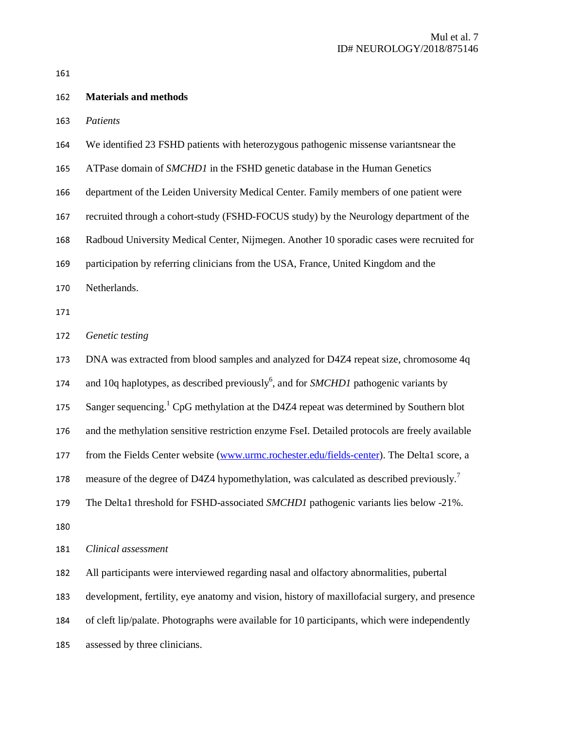| 162 | <b>Materials and methods</b>                                                                       |
|-----|----------------------------------------------------------------------------------------------------|
| 163 | Patients                                                                                           |
| 164 | We identified 23 FSHD patients with heterozygous pathogenic missense variantsnear the              |
| 165 | ATPase domain of SMCHD1 in the FSHD genetic database in the Human Genetics                         |
| 166 | department of the Leiden University Medical Center. Family members of one patient were             |
| 167 | recruited through a cohort-study (FSHD-FOCUS study) by the Neurology department of the             |
| 168 | Radboud University Medical Center, Nijmegen. Another 10 sporadic cases were recruited for          |
| 169 | participation by referring clinicians from the USA, France, United Kingdom and the                 |
| 170 | Netherlands.                                                                                       |
| 171 |                                                                                                    |
| 172 | Genetic testing                                                                                    |
| 173 | DNA was extracted from blood samples and analyzed for D4Z4 repeat size, chromosome 4q              |
| 174 | and 10q haplotypes, as described previously <sup>6</sup> , and for SMCHD1 pathogenic variants by   |
| 175 | Sanger sequencing. <sup>1</sup> CpG methylation at the D4Z4 repeat was determined by Southern blot |
| 176 | and the methylation sensitive restriction enzyme FseI. Detailed protocols are freely available     |
| 177 | from the Fields Center website (www.urmc.rochester.edu/fields-center). The Delta1 score, a         |
| 178 | measure of the degree of D4Z4 hypomethylation, was calculated as described previously.             |
| 179 | The Delta1 threshold for FSHD-associated SMCHD1 pathogenic variants lies below -21%.               |
| 180 |                                                                                                    |
| 181 | Clinical assessment                                                                                |
| 182 | All participants were interviewed regarding nasal and olfactory abnormalities, pubertal            |
| 183 | development, fertility, eye anatomy and vision, history of maxillofacial surgery, and presence     |
| 184 | of cleft lip/palate. Photographs were available for 10 participants, which were independently      |
| 185 | assessed by three clinicians.                                                                      |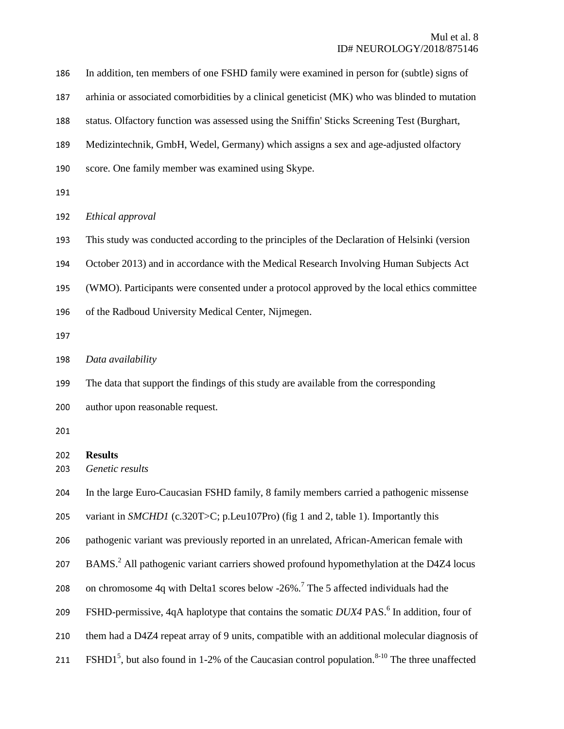| 186        | In addition, ten members of one FSHD family were examined in person for (subtle) signs of            |
|------------|------------------------------------------------------------------------------------------------------|
| 187        | arhinia or associated comorbidities by a clinical geneticist (MK) who was blinded to mutation        |
| 188        | status. Olfactory function was assessed using the Sniffin' Sticks Screening Test (Burghart,          |
| 189        | Medizintechnik, GmbH, Wedel, Germany) which assigns a sex and age-adjusted olfactory                 |
| 190        | score. One family member was examined using Skype.                                                   |
| 191        |                                                                                                      |
| 192        | Ethical approval                                                                                     |
| 193        | This study was conducted according to the principles of the Declaration of Helsinki (version         |
| 194        | October 2013) and in accordance with the Medical Research Involving Human Subjects Act               |
| 195        | (WMO). Participants were consented under a protocol approved by the local ethics committee           |
| 196        | of the Radboud University Medical Center, Nijmegen.                                                  |
| 197        |                                                                                                      |
| 198        | Data availability                                                                                    |
|            |                                                                                                      |
| 199        | The data that support the findings of this study are available from the corresponding                |
| 200        | author upon reasonable request.                                                                      |
| 201        |                                                                                                      |
| 202<br>203 | <b>Results</b><br>Genetic results                                                                    |
| 204        | In the large Euro-Caucasian FSHD family, 8 family members carried a pathogenic missense              |
| 205        | variant in SMCHD1 (c.320T>C; p.Leu107Pro) (fig 1 and 2, table 1). Importantly this                   |
| 206        | pathogenic variant was previously reported in an unrelated, African-American female with             |
| 207        | BAMS. <sup>2</sup> All pathogenic variant carriers showed profound hypomethylation at the D4Z4 locus |
| 208        | on chromosome 4q with Delta1 scores below -26%. <sup>7</sup> The 5 affected individuals had the      |
| 209        | FSHD-permissive, 4qA haplotype that contains the somatic DUX4 PAS. <sup>6</sup> In addition, four of |
| 210        | them had a D4Z4 repeat array of 9 units, compatible with an additional molecular diagnosis of        |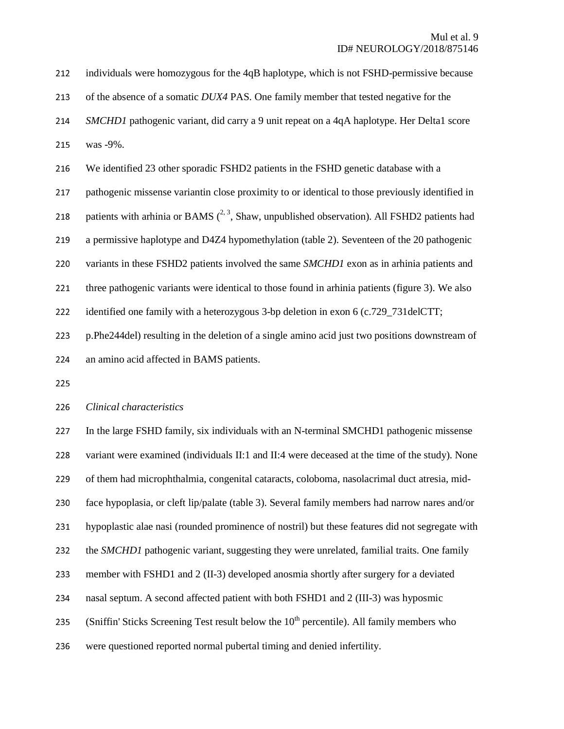| 212 | individuals were homozygous for the 4qB haplotype, which is not FSHD-permissive because          |
|-----|--------------------------------------------------------------------------------------------------|
| 213 | of the absence of a somatic DUX4 PAS. One family member that tested negative for the             |
| 214 | SMCHD1 pathogenic variant, did carry a 9 unit repeat on a 4qA haplotype. Her Delta1 score        |
| 215 | was -9%.                                                                                         |
| 216 | We identified 23 other sporadic FSHD2 patients in the FSHD genetic database with a               |
| 217 | pathogenic missense variantin close proximity to or identical to those previously identified in  |
| 218 | patients with arhinia or BAMS $(^{2,3}$ , Shaw, unpublished observation). All FSHD2 patients had |
| 219 | a permissive haplotype and D4Z4 hypomethylation (table 2). Seventeen of the 20 pathogenic        |
| 220 | variants in these FSHD2 patients involved the same SMCHD1 exon as in arhinia patients and        |
| 221 | three pathogenic variants were identical to those found in arhinia patients (figure 3). We also  |
| 222 | identified one family with a heterozygous 3-bp deletion in exon 6 (c.729_731delCTT;              |
| 223 | p.Phe244del) resulting in the deletion of a single amino acid just two positions downstream of   |
| 224 | an amino acid affected in BAMS patients.                                                         |

#### <sup>226</sup>*Clinical characteristics*

227 In the large FSHD family, six individuals with an N-terminal SMCHD1 pathogenic missense 228 variant were examined (individuals II:1 and II:4 were deceased at the time of the study). None 229 of them had microphthalmia, congenital cataracts, coloboma, nasolacrimal duct atresia, mid-230 face hypoplasia, or cleft lip/palate (table 3). Several family members had narrow nares and/or 231 hypoplastic alae nasi (rounded prominence of nostril) but these features did not segregate with 232 the *SMCHD1* pathogenic variant, suggesting they were unrelated, familial traits. One family 233 member with FSHD1 and 2 (II-3) developed anosmia shortly after surgery for a deviated 234 nasal septum. A second affected patient with both FSHD1 and 2 (III-3) was hyposmic 235 (Sniffin' Sticks Screening Test result below the  $10<sup>th</sup>$  percentile). All family members who 236 were questioned reported normal pubertal timing and denied infertility.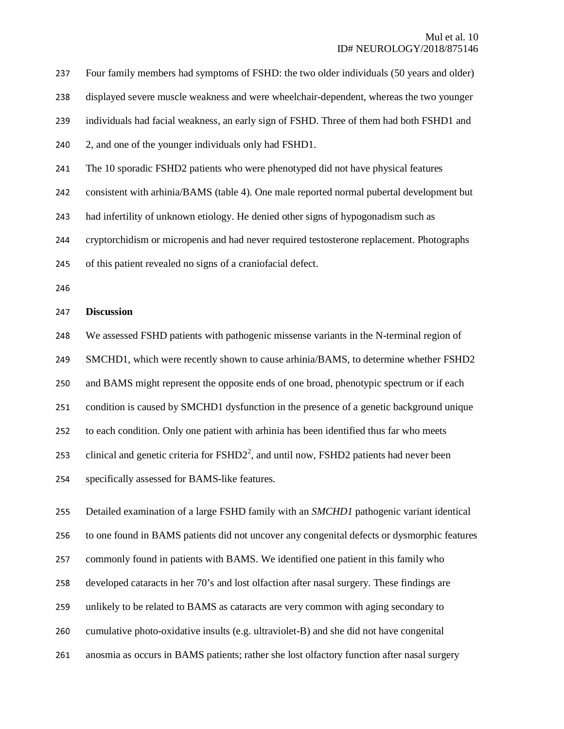237 Four family members had symptoms of FSHD: the two older individuals (50 years and older) 238 displayed severe muscle weakness and were wheelchair-dependent, whereas the two younger 239 individuals had facial weakness, an early sign of FSHD. Three of them had both FSHD1 and 240 2, and one of the younger individuals only had FSHD1. <sup>241</sup>The 10 sporadic FSHD2 patients who were phenotyped did not have physical features 242 consistent with arhinia/BAMS (table 4). One male reported normal pubertal development but 243 had infertility of unknown etiology. He denied other signs of hypogonadism such as <sup>244</sup>cryptorchidism or micropenis and had never required testosterone replacement. Photographs 245 of this patient revealed no signs of a craniofacial defect. 246 <sup>247</sup>**Discussion**  <sup>248</sup>We assessed FSHD patients with pathogenic missense variants in the N-terminal region of 249 SMCHD1, which were recently shown to cause arhinia/BAMS, to determine whether FSHD2

250 and BAMS might represent the opposite ends of one broad, phenotypic spectrum or if each

251 condition is caused by SMCHD1 dysfunction in the presence of a genetic background unique

252 to each condition. Only one patient with arhinia has been identified thus far who meets

253 clinical and genetic criteria for  $\text{FSHD2}^2$ , and until now,  $\text{FSHD2}$  patients had never been

254 specifically assessed for BAMS-like features.

255 Detailed examination of a large FSHD family with an *SMCHD1* pathogenic variant identical

256 to one found in BAMS patients did not uncover any congenital defects or dysmorphic features

257 commonly found in patients with BAMS. We identified one patient in this family who

258 developed cataracts in her 70's and lost olfaction after nasal surgery. These findings are

259 unlikely to be related to BAMS as cataracts are very common with aging secondary to

- $260$  cumulative photo-oxidative insults (e.g. ultraviolet-B) and she did not have congenital
- 261 anosmia as occurs in BAMS patients; rather she lost olfactory function after nasal surgery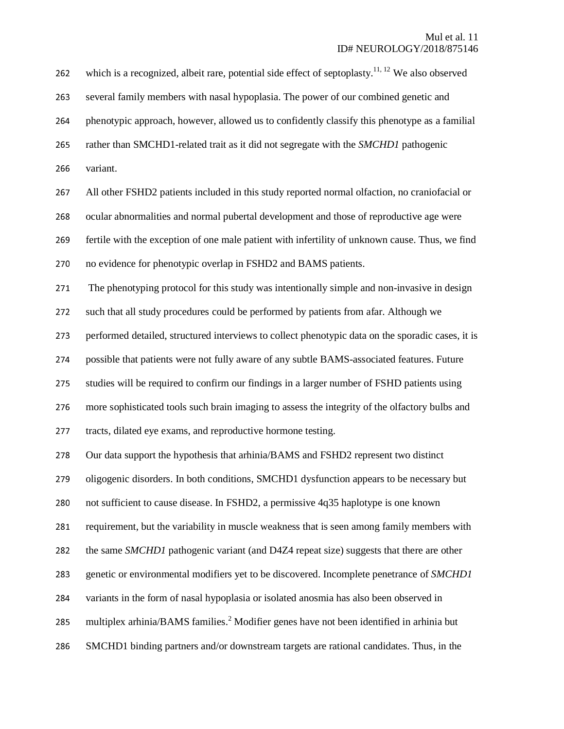262 which is a recognized, albeit rare, potential side effect of septoplasty.<sup>11, 12</sup> We also observed 263 several family members with nasal hypoplasia. The power of our combined genetic and 264 phenotypic approach, however, allowed us to confidently classify this phenotype as a familial 265 rather than SMCHD1-related trait as it did not segregate with the *SMCHD1* pathogenic 266 variant. 267 All other FSHD2 patients included in this study reported normal olfaction, no craniofacial or 268 ocular abnormalities and normal pubertal development and those of reproductive age were 269 fertile with the exception of one male patient with infertility of unknown cause. Thus, we find 270 no evidence for phenotypic overlap in FSHD2 and BAMS patients. 271 The phenotyping protocol for this study was intentionally simple and non-invasive in design 272 such that all study procedures could be performed by patients from afar. Although we 273 performed detailed, structured interviews to collect phenotypic data on the sporadic cases, it is 274 possible that patients were not fully aware of any subtle BAMS-associated features. Future 275 studies will be required to confirm our findings in a larger number of FSHD patients using 276 more sophisticated tools such brain imaging to assess the integrity of the olfactory bulbs and 277 tracts, dilated eye exams, and reproductive hormone testing. 278 Our data support the hypothesis that arhinia/BAMS and FSHD2 represent two distinct 279 oligogenic disorders. In both conditions, SMCHD1 dysfunction appears to be necessary but 280 not sufficient to cause disease. In FSHD2, a permissive  $4q35$  haplotype is one known 281 requirement, but the variability in muscle weakness that is seen among family members with 282 the same *SMCHD1* pathogenic variant (and D4Z4 repeat size) suggests that there are other 283 genetic or environmental modifiers yet to be discovered. Incomplete penetrance of *SMCHD1* 284 variants in the form of nasal hypoplasia or isolated anosmia has also been observed in 285 multiplex arhinia/BAMS families.<sup>2</sup> Modifier genes have not been identified in arhinia but 286 SMCHD1 binding partners and/or downstream targets are rational candidates. Thus, in the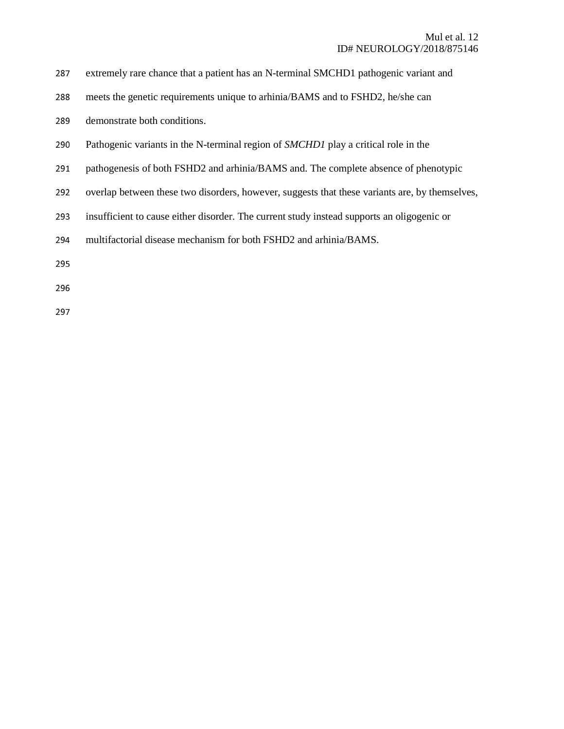| 287 extremely rare chance that a patient has an N-terminal SMCHD1 pathogenic variant and |  |
|------------------------------------------------------------------------------------------|--|
|                                                                                          |  |

- 288 meets the genetic requirements unique to arhinia/BAMS and to FSHD2, he/she can
- 289 demonstrate both conditions.
- 290 Pathogenic variants in the N-terminal region of *SMCHD1* play a critical role in the
- 291 pathogenesis of both FSHD2 and arhinia/BAMS and. The complete absence of phenotypic
- 292 overlap between these two disorders, however, suggests that these variants are, by themselves,
- 293 insufficient to cause either disorder. The current study instead supports an oligogenic or
- 294 multifactorial disease mechanism for both FSHD2 and arhinia/BAMS.
- 
- 296
- 297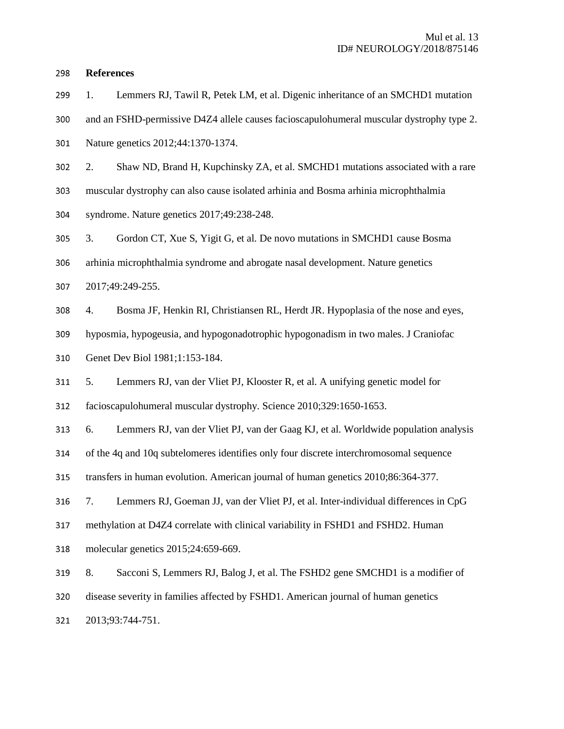#### <sup>298</sup>**References**

- 299 1. Lemmers RJ, Tawil R, Petek LM, et al. Digenic inheritance of an SMCHD1 mutation
- 300 and an FSHD-permissive D4Z4 allele causes facioscapulohumeral muscular dystrophy type 2.
- 301 Nature genetics 2012;44:1370-1374.
- 302 2. Shaw ND, Brand H, Kupchinsky ZA, et al. SMCHD1 mutations associated with a rare
- <sup>303</sup>muscular dystrophy can also cause isolated arhinia and Bosma arhinia microphthalmia
- 304 syndrome. Nature genetics 2017;49:238-248.

<sup>305</sup>3. Gordon CT, Xue S, Yigit G, et al. De novo mutations in SMCHD1 cause Bosma

306 arhinia microphthalmia syndrome and abrogate nasal development. Nature genetics

- <sup>307</sup>2017;49:249-255.
- <sup>308</sup>4. Bosma JF, Henkin RI, Christiansen RL, Herdt JR. Hypoplasia of the nose and eyes,

309 hyposmia, hypogeusia, and hypogonadotrophic hypogonadism in two males. J Craniofac

310 Genet Dev Biol 1981;1:153-184.

<sup>311</sup>5. Lemmers RJ, van der Vliet PJ, Klooster R, et al. A unifying genetic model for

312 facioscapulohumeral muscular dystrophy. Science 2010;329:1650-1653.

<sup>313</sup>6. Lemmers RJ, van der Vliet PJ, van der Gaag KJ, et al. Worldwide population analysis

314 of the 4q and 10q subtelomeres identifies only four discrete interchromosomal sequence

315 transfers in human evolution. American journal of human genetics 2010;86:364-377.

316 7. Lemmers RJ, Goeman JJ, van der Vliet PJ, et al. Inter-individual differences in CpG

317 methylation at D4Z4 correlate with clinical variability in FSHD1 and FSHD2. Human

318 molecular genetics 2015;24:659-669.

- <sup>319</sup>8. Sacconi S, Lemmers RJ, Balog J, et al. The FSHD2 gene SMCHD1 is a modifier of
- 320 disease severity in families affected by FSHD1. American journal of human genetics

321 2013;93:744-751.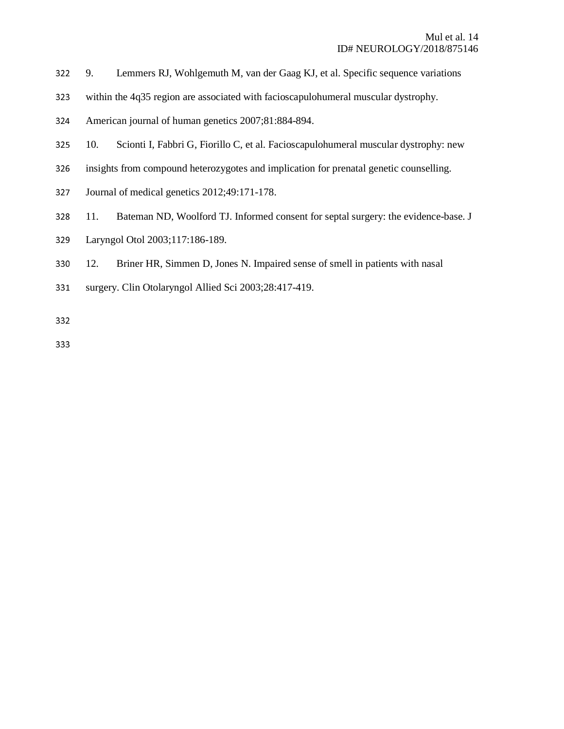- <sup>322</sup>9. Lemmers RJ, Wohlgemuth M, van der Gaag KJ, et al. Specific sequence variations
- 323 within the 4q35 region are associated with facioscapulohumeral muscular dystrophy.
- <sup>324</sup>American journal of human genetics 2007;81:884-894.
- 325 10. Scionti I, Fabbri G, Fiorillo C, et al. Facioscapulohumeral muscular dystrophy: new
- 326 insights from compound heterozygotes and implication for prenatal genetic counselling.
- 327 Journal of medical genetics 2012;49:171-178.
- 328 11. Bateman ND, Woolford TJ. Informed consent for septal surgery: the evidence-base. J
- <sup>329</sup>Laryngol Otol 2003;117:186-189.
- 330 12. Briner HR, Simmen D, Jones N. Impaired sense of smell in patients with nasal
- 331 surgery. Clin Otolaryngol Allied Sci 2003;28:417-419.
- 
- 333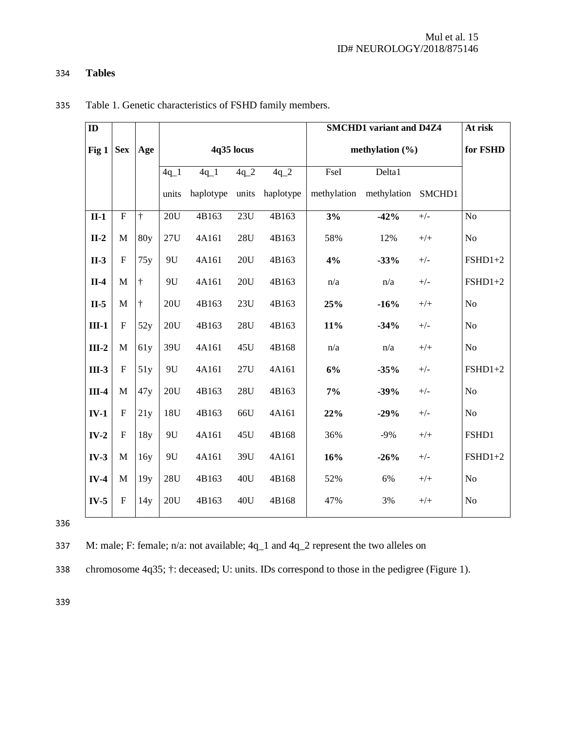# <sup>334</sup>**Tables**

| ID      |                |           |        |           |            |           |                     | <b>SMCHD1</b> variant and D4Z4 |       | At risk        |
|---------|----------------|-----------|--------|-----------|------------|-----------|---------------------|--------------------------------|-------|----------------|
| Fig 1   | <b>Sex</b>     | Age       |        |           | 4q35 locus |           | methylation $(\% )$ |                                |       | for FSHD       |
|         |                |           | $4q_1$ | $4q_1$    | $4q_2$     | $4q_2$    | FseI                | Delta1                         |       |                |
|         |                |           | units  | haplotype | units      | haplotype | methylation         | methylation SMCHD1             |       |                |
| $II-1$  | $\overline{F}$ | $\dagger$ | 20U    | 4B163     | 23U        | 4B163     | 3%                  | $-42%$                         | $+/-$ | N <sub>o</sub> |
| $II-2$  | M              | 80y       | 27U    | 4A161     | 28U        | 4B163     | 58%                 | 12%                            | $+/+$ | N <sub>o</sub> |
| $II-3$  | $\mathbf{F}$   | 75y       | 9U     | 4A161     | 20U        | 4B163     | 4%                  | $-33%$                         | $+/-$ | $FSHD1+2$      |
| $II-4$  | M              | $\dagger$ | 9U     | 4A161     | 20U        | 4B163     | n/a                 | n/a                            | $+/-$ | $FSHD1+2$      |
| $II-5$  | M              | $\dagger$ | 20U    | 4B163     | 23U        | 4B163     | 25%                 | $-16%$                         | $+/+$ | N <sub>o</sub> |
| $III-1$ | $\mathbf F$    | 52y       | 20U    | 4B163     | 28U        | 4B163     | 11%                 | $-34%$                         | $+/-$ | N <sub>o</sub> |
| $III-2$ | $\mathbf M$    | 61y       | 39U    | 4A161     | 45U        | 4B168     | n/a                 | n/a                            | $+/+$ | No             |
| $III-3$ | $\mathbf{F}$   | 51y       | 9U     | 4A161     | 27U        | 4A161     | 6%                  | $-35%$                         | $+/-$ | $FSHD1+2$      |
| $III-4$ | M              | 47y       | 20U    | 4B163     | 28U        | 4B163     | 7%                  | $-39%$                         | $+/-$ | N <sub>o</sub> |
| $IV-1$  | $\mathbf F$    | 21y       | 18U    | 4B163     | 66U        | 4A161     | 22%                 | $-29%$                         | $+/-$ | N <sub>o</sub> |
| $IV-2$  | $\mathbf F$    | 18y       | 9U     | 4A161     | 45U        | 4B168     | 36%                 | $-9%$                          | $+/+$ | FSHD1          |
| $IV-3$  | $\mathbf M$    | 16y       | 9U     | 4A161     | 39U        | 4A161     | 16%                 | $-26%$                         | $+/-$ | $FSHD1+2$      |
| $IV-4$  | M              | 19y       | 28U    | 4B163     | 40U        | 4B168     | 52%                 | 6%                             | $+/+$ | No             |
| $IV-5$  | $\mathbf F$    | 14y       | 20U    | 4B163     | 40U        | 4B168     | 47%                 | 3%                             | $+/+$ | No             |

335 Table 1. Genetic characteristics of FSHD family members.

336

<sup>337</sup>M: male; F: female; n/a: not available; 4q\_1 and 4q\_2 represent the two alleles on

338 chromosome 4q35;  $\dagger$ : deceased; U: units. IDs correspond to those in the pedigree (Figure 1).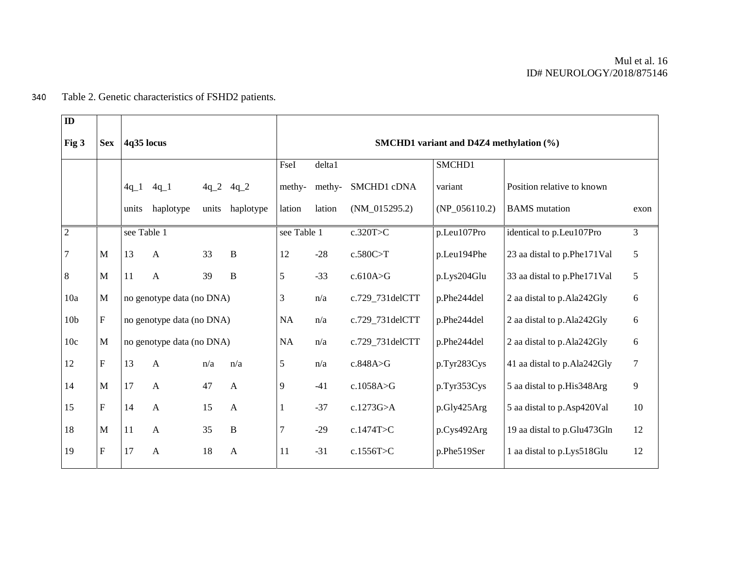# 340 Table 2. Genetic characteristics of FSHD2 patients.

| $\mathbf{ID}$   |                           |             |                           |       |               |                                             |        |                 |                 |                               |                |  |  |
|-----------------|---------------------------|-------------|---------------------------|-------|---------------|---------------------------------------------|--------|-----------------|-----------------|-------------------------------|----------------|--|--|
| Fig 3           | <b>Sex</b>                | 4q35 locus  |                           |       |               | SMCHD1 variant and D4Z4 methylation $(\% )$ |        |                 |                 |                               |                |  |  |
|                 |                           |             |                           |       |               | FseI                                        | delta1 |                 | SMCHD1          |                               |                |  |  |
|                 |                           | $4q_1$      | $4q_{1}$                  |       | $4q_2$ $4q_2$ | methy-                                      | methy- | SMCHD1 cDNA     | variant         | Position relative to known    |                |  |  |
|                 |                           | units       | haplotype                 | units | haplotype     | lation                                      | lation | $(NM_015295.2)$ | $(NP_056110.2)$ | <b>BAMS</b> mutation          | exon           |  |  |
| $\overline{2}$  |                           | see Table 1 |                           |       |               | see Table 1                                 |        | c.320T>C        | p.Leu107Pro     | identical to p.Leu107Pro      | 3              |  |  |
| 7               | $\mathbf{M}$              | 13          | $\mathbf{A}$              | 33    | $\, {\bf B}$  | 12                                          | $-28$  | c.580C>T        | p.Leu194Phe     | 23 aa distal to p.Phe171Val   | 5              |  |  |
| 8               | $\mathbf{M}$              | 11          | $\mathbf{A}$              | 39    | $\, {\bf B}$  | 5                                           | $-33$  | c.610A > G      | p.Lys204Glu     | 33 aa distal to p.Phe171Val   | 5              |  |  |
| 10a             | $\mathbf{M}$              |             | no genotype data (no DNA) |       |               | 3                                           | n/a    | c.729_731delCTT | p.Phe244del     | 2 aa distal to p.Ala242Gly    | 6              |  |  |
| 10 <sub>b</sub> | ${\bf F}$                 |             | no genotype data (no DNA) |       |               | <b>NA</b>                                   | n/a    | c.729_731delCTT | p.Phe244del     | 2 aa distal to p.Ala242Gly    | 6              |  |  |
| 10c             | M                         |             | no genotype data (no DNA) |       |               | NA                                          | n/a    | c.729_731delCTT | p.Phe244del     | 2 aa distal to p.Ala242Gly    | 6              |  |  |
| 12              | $\mathbf{F}$              | 13          | $\mathbf{A}$              | n/a   | n/a           | 5                                           | n/a    | c.848A>G        | p.Tyr283Cys     | 41 aa distal to p.Ala242Gly   | $\overline{7}$ |  |  |
| 14              | $\mathbf{M}$              | 17          | $\mathbf{A}$              | 47    | $\mathbf{A}$  | 9                                           | $-41$  | c.1058A>G       | p.Tyr353Cys     | 5 aa distal to p.His348Arg    | 9              |  |  |
| 15              | $\boldsymbol{\mathrm{F}}$ | 14          | $\mathbf{A}$              | 15    | $\mathbf{A}$  | 1                                           | $-37$  | c.1273G $>$ A   | p.Gly425Arg     | 5 aa distal to p.Asp420Val    | 10             |  |  |
| 18              | M                         | 11          | $\mathbf{A}$              | 35    | $\, {\bf B}$  | 7                                           | $-29$  | c.1474T>C       | p.Cys492Arg     | 19 aa distal to p.Glu473Gln   | 12             |  |  |
| 19              | $\boldsymbol{\mathrm{F}}$ | 17          | $\mathbf{A}$              | 18    | $\mathbf{A}$  | 11                                          | $-31$  | c.1556T>C       | p.Phe519Ser     | 1 aa distal to p. Lys 518 Glu | 12             |  |  |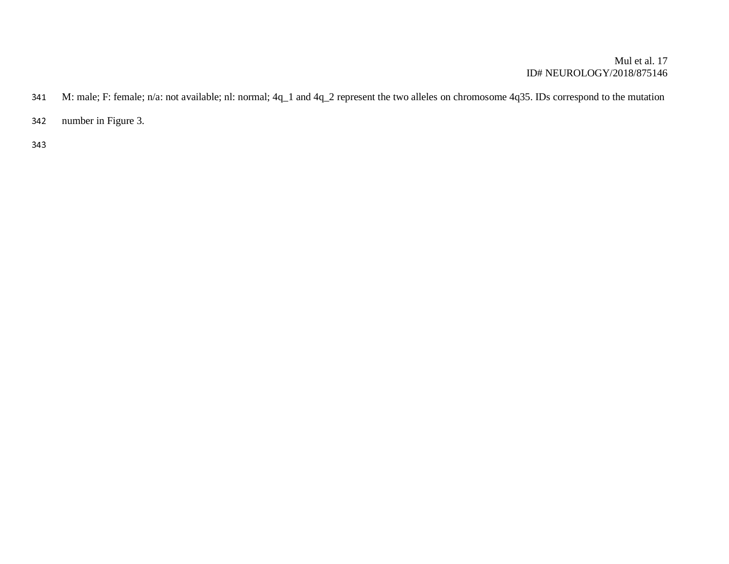## Mul et al. 17 ID# NEUROLOGY/2018/875146

- 341 M: male; F: female; n/a: not available; nl: normal; 4q\_1 and 4q\_2 represent the two alleles on chromosome 4q35. IDs correspond to the mutation
- 342 number in Figure 3.
- 343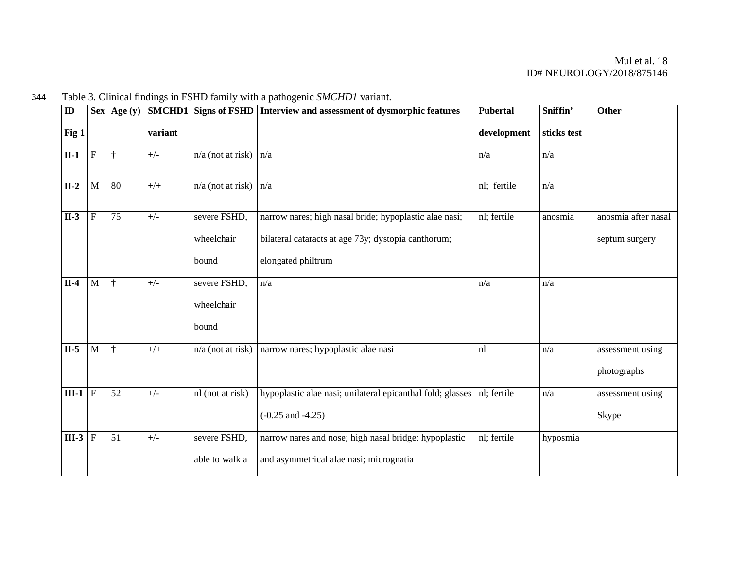| ${\bf ID}$ |              | $\left  \text{Age (y)} \right $ |         | SMCHD1 Signs of FSHD | Interview and assessment of dysmorphic features            | <b>Pubertal</b> | Sniffin'    | Other               |
|------------|--------------|---------------------------------|---------|----------------------|------------------------------------------------------------|-----------------|-------------|---------------------|
| Fig 1      |              |                                 | variant |                      |                                                            | development     | sticks test |                     |
| $II-1$     | ${\bf F}$    | $\dagger$                       | $+/-$   | $n/a$ (not at risk)  | n/a                                                        | n/a             | n/a         |                     |
| $II-2$     | M            | 80                              | $+/+$   | $n/a$ (not at risk)  | n/a                                                        | nl; fertile     | n/a         |                     |
| $II-3$     | ${\bf F}$    | 75                              | $+/-$   | severe FSHD,         | narrow nares; high nasal bride; hypoplastic alae nasi;     | nl; fertile     | anosmia     | anosmia after nasal |
|            |              |                                 |         | wheelchair           | bilateral cataracts at age 73y; dystopia canthorum;        |                 |             | septum surgery      |
|            |              |                                 |         | bound                | elongated philtrum                                         |                 |             |                     |
| $II-4$     | M            | $\dagger$                       | $+/-$   | severe FSHD,         | n/a                                                        | n/a             | n/a         |                     |
|            |              |                                 |         | wheelchair           |                                                            |                 |             |                     |
|            |              |                                 |         | bound                |                                                            |                 |             |                     |
| $II-5$     | $\mathbf{M}$ | $\ddagger$                      | $+/+$   | $n/a$ (not at risk)  | narrow nares; hypoplastic alae nasi                        | nl              | n/a         | assessment using    |
|            |              |                                 |         |                      |                                                            |                 |             | photographs         |
| $III-1$    | $\mathbf F$  | 52                              | $+/-$   | nl (not at risk)     | hypoplastic alae nasi; unilateral epicanthal fold; glasses | nl; fertile     | n/a         | assessment using    |
|            |              |                                 |         |                      | $(-0.25$ and $-4.25)$                                      |                 |             | Skype               |
| $III-3$    | $\mathbf F$  | 51                              | $+/-$   | severe FSHD,         | narrow nares and nose; high nasal bridge; hypoplastic      | nl; fertile     | hyposmia    |                     |
|            |              |                                 |         | able to walk a       | and asymmetrical alae nasi; micrognatia                    |                 |             |                     |

344 Table 3. Clinical findings in FSHD family with a pathogenic *SMCHD1* variant.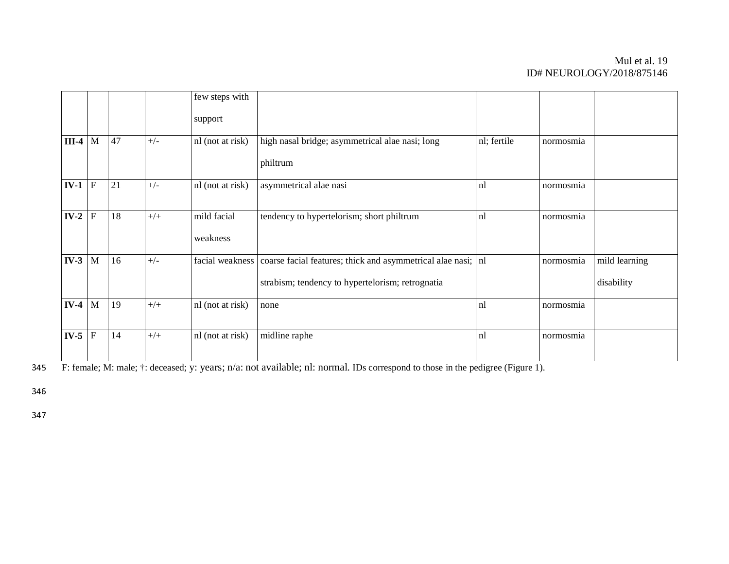## Mul et al. 19 ID# NEUROLOGY/2018/875146

|           |             |    |       | few steps with          |                                                                                                                  |             |           |                             |
|-----------|-------------|----|-------|-------------------------|------------------------------------------------------------------------------------------------------------------|-------------|-----------|-----------------------------|
|           |             |    |       | support                 |                                                                                                                  |             |           |                             |
| $III-4$ M |             | 47 | $+/-$ | nl (not at risk)        | high nasal bridge; asymmetrical alae nasi; long                                                                  | nl; fertile | normosmia |                             |
|           |             |    |       |                         | philtrum                                                                                                         |             |           |                             |
| $IV-1$    | $\mathbf F$ | 21 | $+/-$ | nl (not at risk)        | asymmetrical alae nasi                                                                                           | nl          | normosmia |                             |
| $IV-2$    | $\mathbf F$ | 18 | $+/+$ | mild facial<br>weakness | tendency to hypertelorism; short philtrum                                                                        | nl          | normosmia |                             |
| $IV-3$ M  |             | 16 | $+/-$ | facial weakness         | coarse facial features; thick and asymmetrical alae nasi; nl<br>strabism; tendency to hypertelorism; retrognatia |             | normosmia | mild learning<br>disability |
| $IV-4$ M  |             | 19 | $+/+$ | nl (not at risk)        | none                                                                                                             | nl          | normosmia |                             |
| $IV-5$    | ${\bf F}$   | 14 | $+/+$ | nl (not at risk)        | midline raphe                                                                                                    | nl          | normosmia |                             |

 $\overline{F: \text{female; M: male; } \cdot \text{;} \text{deceased; } y: \text{years; } n/a: \text{not available; nl: normal. IDs correspond to those in the pedigree (Figure 1).}$ 

346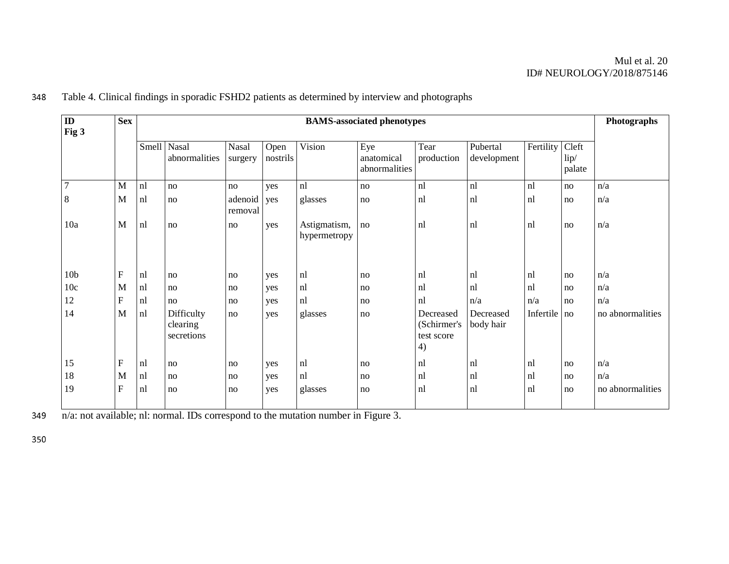## Mul et al. 20 ID# NEUROLOGY/2018/875146

| $\mathbf{ID}$   | <b>Sex</b><br><b>BAMS-associated phenotypes</b><br>Fig 3 |           |       |                                      |                         |                  |                              |                                    | Photographs                                  |                         |              |                         |                  |
|-----------------|----------------------------------------------------------|-----------|-------|--------------------------------------|-------------------------|------------------|------------------------------|------------------------------------|----------------------------------------------|-------------------------|--------------|-------------------------|------------------|
|                 |                                                          |           | Smell | Nasal<br>abnormalities               | <b>Nasal</b><br>surgery | Open<br>nostrils | Vision                       | Eye<br>anatomical<br>abnormalities | Tear<br>production                           | Pubertal<br>development | Fertility    | Cleft<br>lip/<br>palate |                  |
| $\overline{7}$  |                                                          | M         | nl    | no                                   | no                      | yes              | nl                           | no                                 | nl                                           | nl                      | nl           | no                      | n/a              |
| 8               |                                                          | M         | nl    | no                                   | adenoid<br>removal      | yes              | glasses                      | no                                 | nl                                           | nl                      | nl           | no                      | n/a              |
| 10a             |                                                          | M         | nl    | no                                   | no                      | yes              | Astigmatism,<br>hypermetropy | no                                 | nl                                           | nl                      | nl           | no                      | n/a              |
| 10 <sub>b</sub> |                                                          | ${\bf F}$ | nl    | no                                   | no                      | yes              | nl                           | no                                 | nl                                           | nl                      | nl           | no                      | n/a              |
| 10c             |                                                          | M         | nl    | no                                   | no                      | yes              | nl                           | no                                 | nl                                           | nl                      | nl           | no                      | n/a              |
| 12              |                                                          | ${\bf F}$ | nl    | no                                   | no                      | yes              | nl                           | no                                 | nl                                           | n/a                     | n/a          | no                      | n/a              |
| 14              |                                                          | M         | nl    | Difficulty<br>clearing<br>secretions | no                      | yes              | glasses                      | $\mathbf{no}$                      | Decreased<br>(Schirmer's<br>test score<br>4) | Decreased<br>body hair  | Infertile no |                         | no abnormalities |
| 15              |                                                          | ${\bf F}$ | nl    | no                                   | no                      | yes              | nl                           | no                                 | nl                                           | nl                      | nl           | no                      | n/a              |
| 18              |                                                          | M         | nl    | no                                   | no                      | yes              | nl                           | no                                 | nl                                           | nl                      | nl           | no                      | n/a              |
| 19              |                                                          | ${\bf F}$ | nl    | no                                   | no                      | yes              | glasses                      | no                                 | nl                                           | nl                      | nl           | no                      | no abnormalities |

348 Table 4. Clinical findings in sporadic FSHD2 patients as determined by interview and photographs

 $\overline{\text{n/a: not available}}$ ; nl: normal. IDs correspond to the mutation number in Figure 3.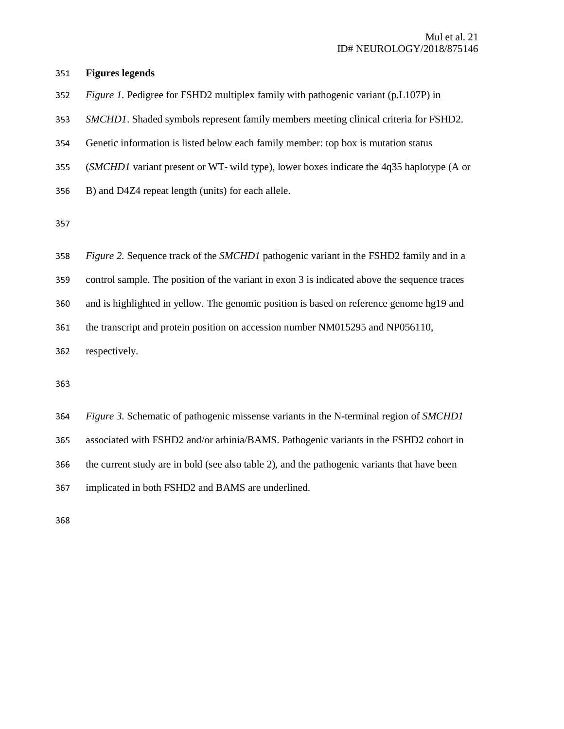#### <sup>351</sup>**Figures legends**

<sup>352</sup>*Figure 1.* Pedigree for FSHD2 multiplex family with pathogenic variant (p.L107P) in

<sup>353</sup>*SMCHD1*. Shaded symbols represent family members meeting clinical criteria for FSHD2.

354 Genetic information is listed below each family member: top box is mutation status

<sup>355</sup>(*SMCHD1* variant present or WT- wild type), lower boxes indicate the 4q35 haplotype (A or

356 B) and D4Z4 repeat length (units) for each allele.

| 358 | Figure 2. Sequence track of the SMCHD1 pathogenic variant in the FSHD2 family and in a       |
|-----|----------------------------------------------------------------------------------------------|
| 359 | control sample. The position of the variant in exon 3 is indicated above the sequence traces |
| 360 | and is highlighted in yellow. The genomic position is based on reference genome hg19 and     |
| 361 | the transcript and protein position on accession number NM015295 and NP056110,               |
| 362 | respectively.                                                                                |
|     |                                                                                              |

363

<sup>364</sup>*Figure 3.* Schematic of pathogenic missense variants in the N-terminal region of *SMCHD1*

365 associated with FSHD2 and/or arhinia/BAMS. Pathogenic variants in the FSHD2 cohort in

366 the current study are in bold (see also table 2), and the pathogenic variants that have been

367 implicated in both FSHD2 and BAMS are underlined.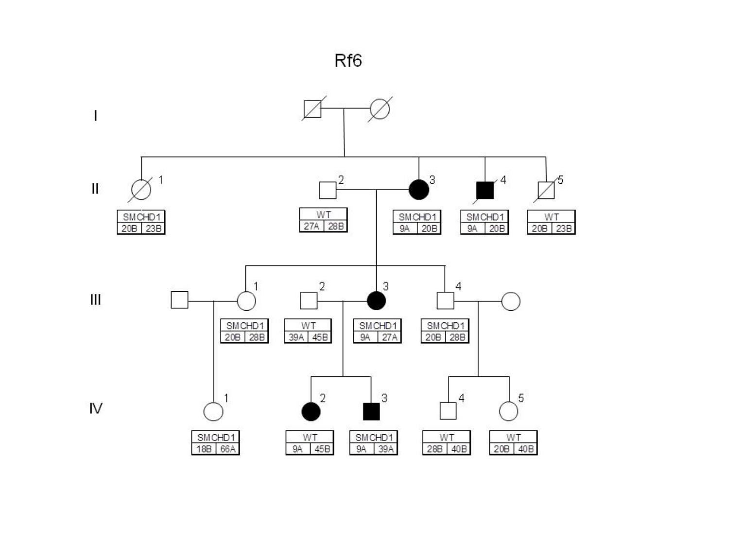

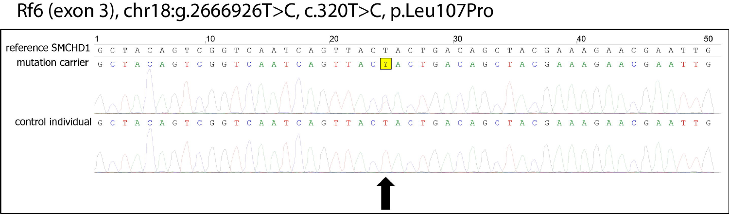# Rf6 (exon 3), chr18:g.2666926T>C, c.320T>C, p.Leu107Pro